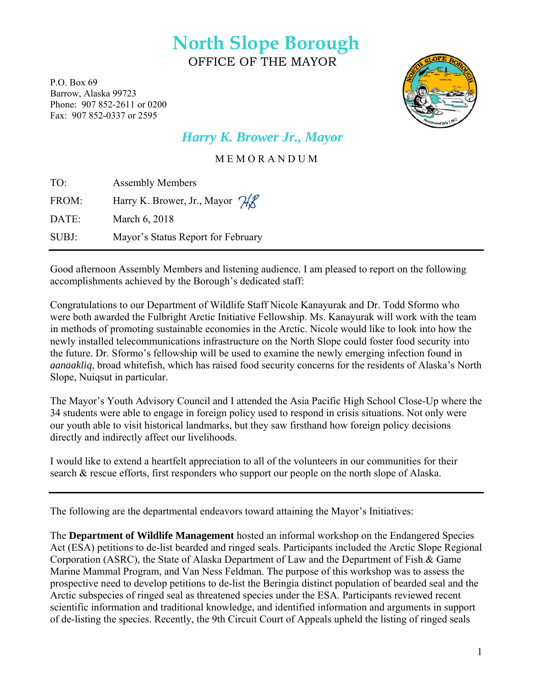# **North Slope Borough**  OFFICE OF THE MAYOR

P.O. Box 69 Barrow, Alaska 99723 Phone: 907 852-2611 or 0200 Fax: 907 852-0337 or 2595



# *Harry K. Brower Jr., Mayor*

M E M O R A N D U M

| TO:   | <b>Assembly Members</b>            |
|-------|------------------------------------|
| FROM: | Harry K. Brower, Jr., Mayor H&     |
| DATE: | March 6, 2018                      |
| SUBJ: | Mayor's Status Report for February |

Good afternoon Assembly Members and listening audience. I am pleased to report on the following accomplishments achieved by the Borough's dedicated staff:

Congratulations to our Department of Wildlife Staff Nicole Kanayurak and Dr. Todd Sformo who were both awarded the Fulbright Arctic Initiative Fellowship. Ms. Kanayurak will work with the team in methods of promoting sustainable economies in the Arctic. Nicole would like to look into how the newly installed telecommunications infrastructure on the North Slope could foster food security into the future. Dr. Sformo's fellowship will be used to examine the newly emerging infection found in *aanaakliq*, broad whitefish, which has raised food security concerns for the residents of Alaska's North Slope, Nuiqsut in particular.

The Mayor's Youth Advisory Council and I attended the Asia Pacific High School Close-Up where the 34 students were able to engage in foreign policy used to respond in crisis situations. Not only were our youth able to visit historical landmarks, but they saw firsthand how foreign policy decisions directly and indirectly affect our livelihoods.

I would like to extend a heartfelt appreciation to all of the volunteers in our communities for their search & rescue efforts, first responders who support our people on the north slope of Alaska.

The following are the departmental endeavors toward attaining the Mayor's Initiatives:

The **Department of Wildlife Management** hosted an informal workshop on the Endangered Species Act (ESA) petitions to de-list bearded and ringed seals. Participants included the Arctic Slope Regional Corporation (ASRC), the State of Alaska Department of Law and the Department of Fish & Game Marine Mammal Program, and Van Ness Feldman. The purpose of this workshop was to assess the prospective need to develop petitions to de-list the Beringia distinct population of bearded seal and the Arctic subspecies of ringed seal as threatened species under the ESA. Participants reviewed recent scientific information and traditional knowledge, and identified information and arguments in support of de-listing the species. Recently, the 9th Circuit Court of Appeals upheld the listing of ringed seals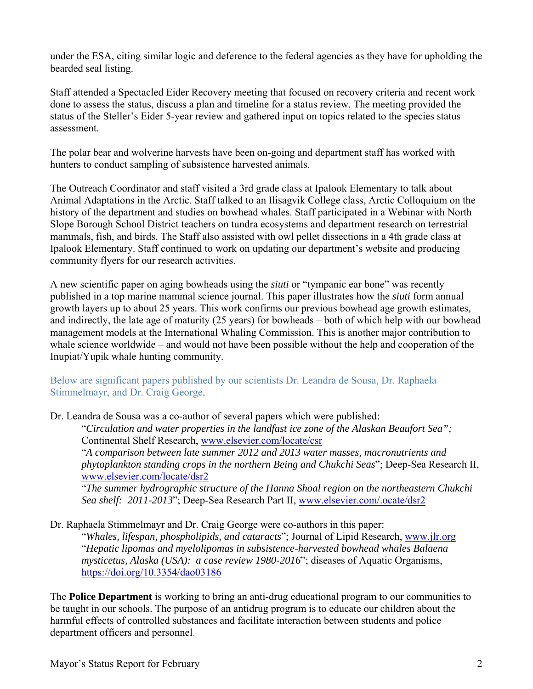under the ESA, citing similar logic and deference to the federal agencies as they have for upholding the bearded seal listing.

Staff attended a Spectacled Eider Recovery meeting that focused on recovery criteria and recent work done to assess the status, discuss a plan and timeline for a status review. The meeting provided the status of the Steller's Eider 5-year review and gathered input on topics related to the species status assessment.

The polar bear and wolverine harvests have been on-going and department staff has worked with hunters to conduct sampling of subsistence harvested animals.

The Outreach Coordinator and staff visited a 3rd grade class at Ipalook Elementary to talk about Animal Adaptations in the Arctic. Staff talked to an Ilisagvik College class, Arctic Colloquium on the history of the department and studies on bowhead whales. Staff participated in a Webinar with North Slope Borough School District teachers on tundra ecosystems and department research on terrestrial mammals, fish, and birds. The Staff also assisted with owl pellet dissections in a 4th grade class at Ipalook Elementary. Staff continued to work on updating our department's website and producing community flyers for our research activities.

A new scientific paper on aging bowheads using the *siuti* or "tympanic ear bone" was recently published in a top marine mammal science journal. This paper illustrates how the *siuti* form annual growth layers up to about 25 years. This work confirms our previous bowhead age growth estimates, and indirectly, the late age of maturity (25 years) for bowheads – both of which help with our bowhead management models at the International Whaling Commission. This is another major contribution to whale science worldwide – and would not have been possible without the help and cooperation of the Inupiat/Yupik whale hunting community.

## Below are significant papers published by our scientists Dr. Leandra de Sousa, Dr. Raphaela Stimmelmayr, and Dr. Craig George.

Dr. Leandra de Sousa was a co-author of several papers which were published:

"*Circulation and water properties in the landfast ice zone of the Alaskan Beaufort Sea";*  Continental Shelf Research, www.elsevier.com/locate/csr

"*A comparison between late summer 2012 and 2013 water masses, macronutrients and phytoplankton standing crops in the northern Being and Chukchi Seas*"; Deep-Sea Research II, www.elsevier.com/locate/dsr2

"*The summer hydrographic structure of the Hanna Shoal region on the northeastern Chukchi Sea shelf: 2011-2013*"; Deep-Sea Research Part II, www.elsevier.com/.ocate/dsr2

Dr. Raphaela Stimmelmayr and Dr. Craig George were co-authors in this paper:

"*Whales, lifespan, phospholipids, and cataracts*"; Journal of Lipid Research, www.jlr.org "*Hepatic lipomas and myelolipomas in subsistence-harvested bowhead whales Balaena mysticetus, Alaska (USA): a case review 1980-2016*"; diseases of Aquatic Organisms, https://doi.org/10.3354/dao03186

The **Police Department** is working to bring an anti-drug educational program to our communities to be taught in our schools. The purpose of an antidrug program is to educate our children about the harmful effects of controlled substances and facilitate interaction between students and police department officers and personnel.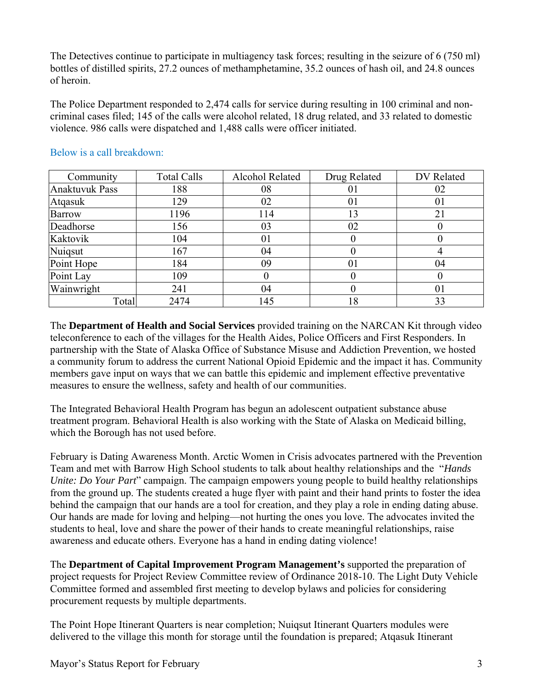The Detectives continue to participate in multiagency task forces; resulting in the seizure of 6 (750 ml) bottles of distilled spirits, 27.2 ounces of methamphetamine, 35.2 ounces of hash oil, and 24.8 ounces of heroin.

The Police Department responded to 2,474 calls for service during resulting in 100 criminal and noncriminal cases filed; 145 of the calls were alcohol related, 18 drug related, and 33 related to domestic violence. 986 calls were dispatched and 1,488 calls were officer initiated.

| Community             | <b>Total Calls</b> | Alcohol Related | Drug Related | DV Related |
|-----------------------|--------------------|-----------------|--------------|------------|
| <b>Anaktuvuk Pass</b> | 188                | 08              | 01           | 02         |
| Atgasuk               | 129                | 02              | 01           | 01         |
| <b>Barrow</b>         | 1196               | 114             | 13           | 21         |
| Deadhorse             | 156                | 03              | 02           |            |
| Kaktovik              | 104                | 01              | O            |            |
| Nuiqsut               | 167                | 04              |              |            |
| Point Hope            | 184                | 09              | 01           | 04         |
| Point Lay             | 109                |                 | 0            |            |
| Wainwright            | 241                | 04              | 0            | 01         |
| Total                 | 2474               | 145             | 18           | 33         |

#### Below is a call breakdown:

The **Department of Health and Social Services** provided training on the NARCAN Kit through video teleconference to each of the villages for the Health Aides, Police Officers and First Responders. In partnership with the State of Alaska Office of Substance Misuse and Addiction Prevention, we hosted a community forum to address the current National Opioid Epidemic and the impact it has. Community members gave input on ways that we can battle this epidemic and implement effective preventative measures to ensure the wellness, safety and health of our communities.

The Integrated Behavioral Health Program has begun an adolescent outpatient substance abuse treatment program. Behavioral Health is also working with the State of Alaska on Medicaid billing, which the Borough has not used before.

February is Dating Awareness Month. Arctic Women in Crisis advocates partnered with the Prevention Team and met with Barrow High School students to talk about healthy relationships and the "*Hands Unite: Do Your Part*" campaign. The campaign empowers young people to build healthy relationships from the ground up. The students created a huge flyer with paint and their hand prints to foster the idea behind the campaign that our hands are a tool for creation, and they play a role in ending dating abuse. Our hands are made for loving and helping—not hurting the ones you love. The advocates invited the students to heal, love and share the power of their hands to create meaningful relationships, raise awareness and educate others. Everyone has a hand in ending dating violence!

The **Department of Capital Improvement Program Management's** supported the preparation of project requests for Project Review Committee review of Ordinance 2018-10. The Light Duty Vehicle Committee formed and assembled first meeting to develop bylaws and policies for considering procurement requests by multiple departments.

The Point Hope Itinerant Quarters is near completion; Nuiqsut Itinerant Quarters modules were delivered to the village this month for storage until the foundation is prepared; Atqasuk Itinerant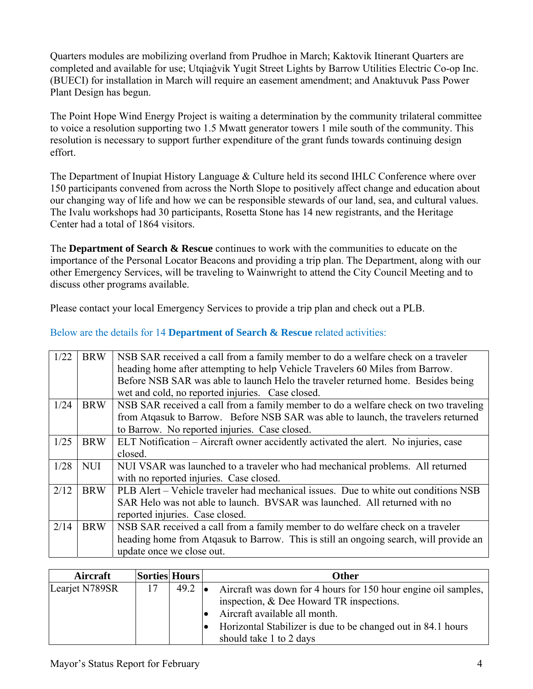Quarters modules are mobilizing overland from Prudhoe in March; Kaktovik Itinerant Quarters are completed and available for use; Utqiaġvik Yugit Street Lights by Barrow Utilities Electric Co-op Inc. (BUECI) for installation in March will require an easement amendment; and Anaktuvuk Pass Power Plant Design has begun.

The Point Hope Wind Energy Project is waiting a determination by the community trilateral committee to voice a resolution supporting two 1.5 Mwatt generator towers 1 mile south of the community. This resolution is necessary to support further expenditure of the grant funds towards continuing design effort.

The Department of Inupiat History Language & Culture held its second IHLC Conference where over 150 participants convened from across the North Slope to positively affect change and education about our changing way of life and how we can be responsible stewards of our land, sea, and cultural values. The Ivalu workshops had 30 participants, Rosetta Stone has 14 new registrants, and the Heritage Center had a total of 1864 visitors.

The **Department of Search & Rescue** continues to work with the communities to educate on the importance of the Personal Locator Beacons and providing a trip plan. The Department, along with our other Emergency Services, will be traveling to Wainwright to attend the City Council Meeting and to discuss other programs available.

Please contact your local Emergency Services to provide a trip plan and check out a PLB.

## Below are the details for 14 **Department of Search & Rescue** related activities:

| 1/22 | <b>BRW</b> | NSB SAR received a call from a family member to do a welfare check on a traveler      |
|------|------------|---------------------------------------------------------------------------------------|
|      |            | heading home after attempting to help Vehicle Travelers 60 Miles from Barrow.         |
|      |            | Before NSB SAR was able to launch Helo the traveler returned home. Besides being      |
|      |            | wet and cold, no reported injuries. Case closed.                                      |
| 1/24 | <b>BRW</b> | NSB SAR received a call from a family member to do a welfare check on two traveling   |
|      |            | from Atgasuk to Barrow. Before NSB SAR was able to launch, the travelers returned     |
|      |            | to Barrow. No reported injuries. Case closed.                                         |
| 1/25 | <b>BRW</b> | ELT Notification – Aircraft owner accidently activated the alert. No injuries, case   |
|      |            | closed.                                                                               |
| 1/28 | <b>NUI</b> | NUI VSAR was launched to a traveler who had mechanical problems. All returned         |
|      |            | with no reported injuries. Case closed.                                               |
| 2/12 | <b>BRW</b> | PLB Alert – Vehicle traveler had mechanical issues. Due to white out conditions NSB   |
|      |            | SAR Helo was not able to launch. BVSAR was launched. All returned with no             |
|      |            | reported injuries. Case closed.                                                       |
| 2/14 | <b>BRW</b> | NSB SAR received a call from a family member to do welfare check on a traveler        |
|      |            | heading home from Atqasuk to Barrow. This is still an ongoing search, will provide an |
|      |            | update once we close out.                                                             |

| Aircraft       | Sorties Hours |                | Other                                                          |  |  |  |
|----------------|---------------|----------------|----------------------------------------------------------------|--|--|--|
| Learjet N789SR | 17            | $49.2 \bullet$ | Aircraft was down for 4 hours for 150 hour engine oil samples, |  |  |  |
|                |               |                | inspection, $&$ Dee Howard TR inspections.                     |  |  |  |
|                |               |                | Aircraft available all month.                                  |  |  |  |
|                |               |                | Horizontal Stabilizer is due to be changed out in 84.1 hours   |  |  |  |
|                |               |                | should take 1 to 2 days                                        |  |  |  |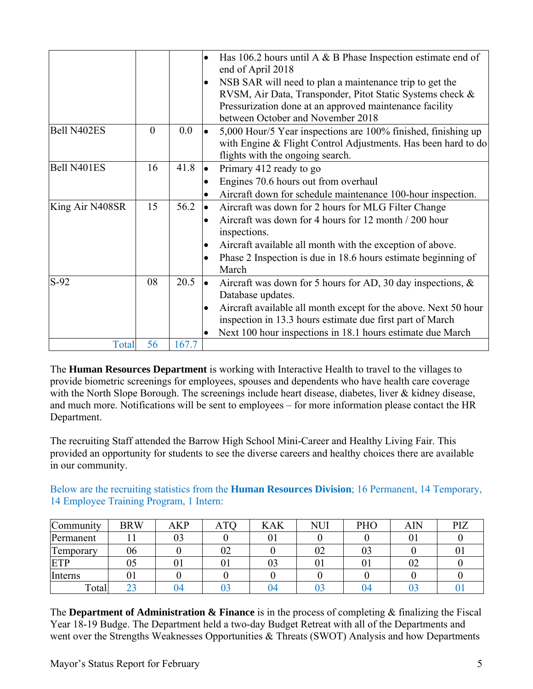|                 |          |       | Has 106.2 hours until A $\&$ B Phase Inspection estimate end of<br>end of April 2018<br>NSB SAR will need to plan a maintenance trip to get the<br>$\bullet$<br>RVSM, Air Data, Transponder, Pitot Static Systems check &<br>Pressurization done at an approved maintenance facility<br>between October and November 2018 |
|-----------------|----------|-------|---------------------------------------------------------------------------------------------------------------------------------------------------------------------------------------------------------------------------------------------------------------------------------------------------------------------------|
| Bell N402ES     | $\theta$ | 0.0   | 5,000 Hour/5 Year inspections are 100% finished, finishing up<br>with Engine & Flight Control Adjustments. Has been hard to do<br>flights with the ongoing search.                                                                                                                                                        |
| Bell N401ES     | 16       | 41.8  | Primary 412 ready to go<br>Engines 70.6 hours out from overhaul<br>Aircraft down for schedule maintenance 100-hour inspection.                                                                                                                                                                                            |
| King Air N408SR | 15       | 56.2  | Aircraft was down for 2 hours for MLG Filter Change<br>Aircraft was down for 4 hours for 12 month / 200 hour<br>inspections.<br>Aircraft available all month with the exception of above.<br>$\bullet$<br>Phase 2 Inspection is due in 18.6 hours estimate beginning of<br>March                                          |
| $S-92$          | 08       | 20.5  | Aircraft was down for 5 hours for AD, 30 day inspections, $\&$<br>Database updates.<br>Aircraft available all month except for the above. Next 50 hour<br>$\bullet$<br>inspection in 13.3 hours estimate due first part of March<br>Next 100 hour inspections in 18.1 hours estimate due March                            |
| Total           | 56       | 167.7 |                                                                                                                                                                                                                                                                                                                           |

The **Human Resources Department** is working with Interactive Health to travel to the villages to provide biometric screenings for employees, spouses and dependents who have health care coverage with the North Slope Borough. The screenings include heart disease, diabetes, liver & kidney disease, and much more. Notifications will be sent to employees – for more information please contact the HR Department.

The recruiting Staff attended the Barrow High School Mini-Career and Healthy Living Fair. This provided an opportunity for students to see the diverse careers and healthy choices there are available in our community.

Below are the recruiting statistics from the **Human Resources Division**; 16 Permanent, 14 Temporary, 14 Employee Training Program, 1 Intern:

| Community  | <b>BRW</b> | AKP | $\mathbf{L}$<br>A1C | <b>KAK</b> | NUI | PHO | AIN | PIZ |
|------------|------------|-----|---------------------|------------|-----|-----|-----|-----|
| Permanent  |            | 03  |                     | 01         |     |     | U.  |     |
| l'emporary | 06         |     | 02                  |            | 02  | 03  |     | v   |
| ETP        | 05         | U J | 01                  | 03         |     |     | 02  |     |
| Interns    | UΙ         |     |                     |            |     |     |     |     |
| Total      | ົ<br>رے    | 14  | ∩∩<br>E             | 04         |     | 04  |     |     |

The **Department of Administration & Finance** is in the process of completing & finalizing the Fiscal Year 18-19 Budge. The Department held a two-day Budget Retreat with all of the Departments and went over the Strengths Weaknesses Opportunities & Threats (SWOT) Analysis and how Departments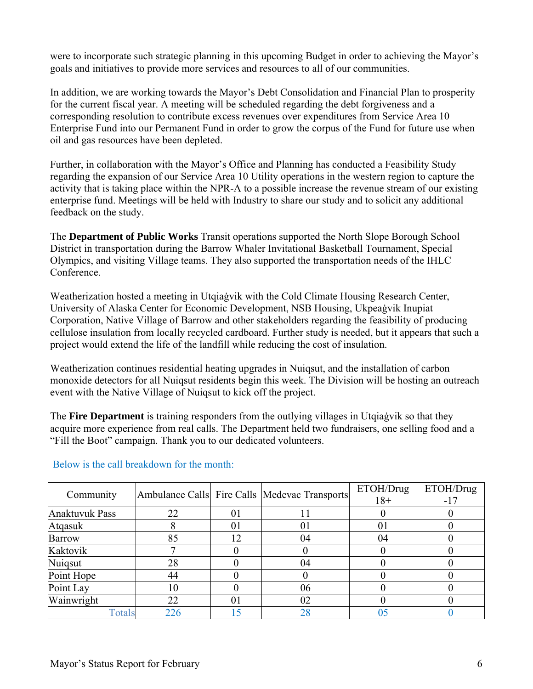were to incorporate such strategic planning in this upcoming Budget in order to achieving the Mayor's goals and initiatives to provide more services and resources to all of our communities.

In addition, we are working towards the Mayor's Debt Consolidation and Financial Plan to prosperity for the current fiscal year. A meeting will be scheduled regarding the debt forgiveness and a corresponding resolution to contribute excess revenues over expenditures from Service Area 10 Enterprise Fund into our Permanent Fund in order to grow the corpus of the Fund for future use when oil and gas resources have been depleted.

Further, in collaboration with the Mayor's Office and Planning has conducted a Feasibility Study regarding the expansion of our Service Area 10 Utility operations in the western region to capture the activity that is taking place within the NPR-A to a possible increase the revenue stream of our existing enterprise fund. Meetings will be held with Industry to share our study and to solicit any additional feedback on the study.

The **Department of Public Works** Transit operations supported the North Slope Borough School District in transportation during the Barrow Whaler Invitational Basketball Tournament, Special Olympics, and visiting Village teams. They also supported the transportation needs of the IHLC Conference.

Weatherization hosted a meeting in Utqiaġvik with the Cold Climate Housing Research Center, University of Alaska Center for Economic Development, NSB Housing, Ukpeaġvik Inupiat Corporation, Native Village of Barrow and other stakeholders regarding the feasibility of producing cellulose insulation from locally recycled cardboard. Further study is needed, but it appears that such a project would extend the life of the landfill while reducing the cost of insulation.

Weatherization continues residential heating upgrades in Nuiqsut, and the installation of carbon monoxide detectors for all Nuiqsut residents begin this week. The Division will be hosting an outreach event with the Native Village of Nuiqsut to kick off the project.

The **Fire Department** is training responders from the outlying villages in Utqiaġvik so that they acquire more experience from real calls. The Department held two fundraisers, one selling food and a "Fill the Boot" campaign. Thank you to our dedicated volunteers.

| Community             |     |    | Ambulance Calls Fire Calls Medevac Transports | ETOH/Drug | ETOH/Drug |
|-----------------------|-----|----|-----------------------------------------------|-----------|-----------|
|                       |     |    |                                               | $18+$     | $-17$     |
| <b>Anaktuvuk Pass</b> | 22  | 01 |                                               |           |           |
| Atqasuk               |     | 01 | $_{01}$                                       |           |           |
| <b>Barrow</b>         | 85  | 12 | 04                                            | 04        |           |
| Kaktovik              |     |    |                                               |           |           |
| Nuigsut               | 28  |    | 04                                            |           |           |
| Point Hope            | 44  |    |                                               |           |           |
| Point Lay             | 10  |    | 06                                            |           |           |
| Wainwright            | 22  | 01 | 02                                            |           |           |
| Totals                | 226 | 15 | 28                                            |           |           |

#### Below is the call breakdown for the month: